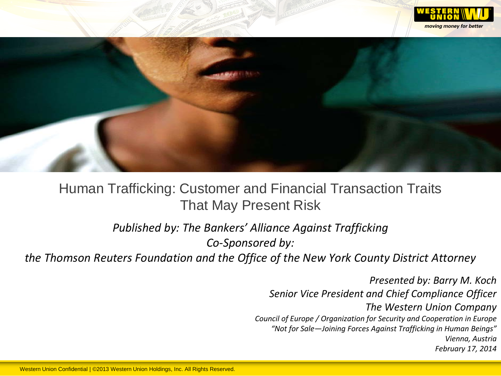



# Human Trafficking: Customer and Financial Transaction Traits That May Present Risk

*Published by: The Bankers' Alliance Against Trafficking Co-Sponsored by:*

*the Thomson Reuters Foundation and the Office of the New York County District Attorney*

*Presented by: Barry M. Koch Senior Vice President and Chief Compliance Officer The Western Union Company Council of Europe / Organization for Security and Cooperation in Europe "Not for Sale—Joining Forces Against Trafficking in Human Beings" Vienna, Austria February 17, 2014*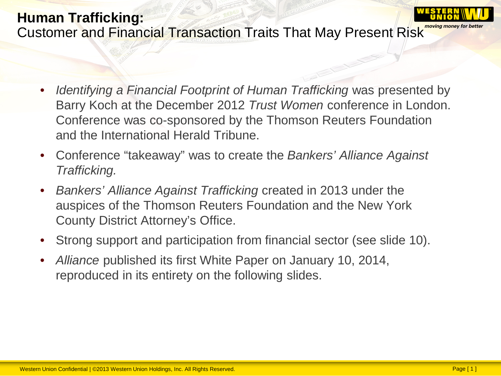- *Identifying a Financial Footprint of Human Trafficking* was presented by Barry Koch at the December 2012 *Trust Women* conference in London. Conference was co-sponsored by the Thomson Reuters Foundation and the International Herald Tribune.
- Conference "takeaway" was to create the *Bankers' Alliance Against Trafficking.*
- *Bankers' Alliance Against Trafficking* created in 2013 under the auspices of the Thomson Reuters Foundation and the New York County District Attorney's Office.
- Strong support and participation from financial sector (see slide 10).
- *Alliance* published its first White Paper on January 10, 2014, reproduced in its entirety on the following slides.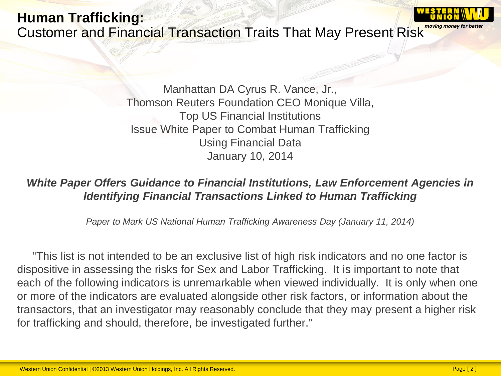Manhattan DA Cyrus R. Vance, Jr., Thomson Reuters Foundation CEO Monique Villa, Top US Financial Institutions Issue White Paper to Combat Human Trafficking Using Financial Data January 10, 2014

#### *White Paper Offers Guidance to Financial Institutions, Law Enforcement Agencies in Identifying Financial Transactions Linked to Human Trafficking*

*Paper to Mark US National Human Trafficking Awareness Day (January 11, 2014)*

 "This list is not intended to be an exclusive list of high risk indicators and no one factor is dispositive in assessing the risks for Sex and Labor Trafficking. It is important to note that each of the following indicators is unremarkable when viewed individually. It is only when one or more of the indicators are evaluated alongside other risk factors, or information about the transactors, that an investigator may reasonably conclude that they may present a higher risk for trafficking and should, therefore, be investigated further."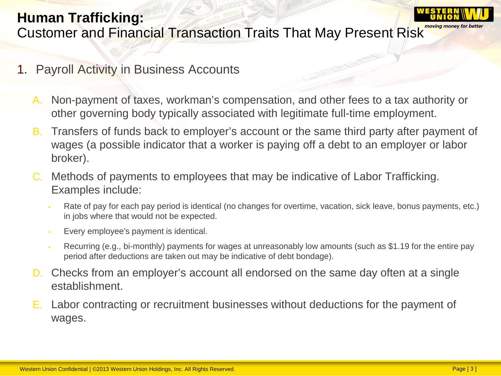

### **Human Trafficking:** Customer and Financial Transaction Traits That May Present Risk moving money for better

- 1. Payroll Activity in Business Accounts
	- A. Non-payment of taxes, workman's compensation, and other fees to a tax authority or other governing body typically associated with legitimate full-time employment.
	- B. Transfers of funds back to employer's account or the same third party after payment of wages (a possible indicator that a worker is paying off a debt to an employer or labor broker).
	- C. Methods of payments to employees that may be indicative of Labor Trafficking. Examples include:
		- Rate of pay for each pay period is identical (no changes for overtime, vacation, sick leave, bonus payments, etc.) in jobs where that would not be expected.
		- Every employee's payment is identical.
		- Recurring (e.g., bi-monthly) payments for wages at unreasonably low amounts (such as \$1.19 for the entire pay period after deductions are taken out may be indicative of debt bondage).
	- D. Checks from an employer's account all endorsed on the same day often at a single establishment.
	- E. Labor contracting or recruitment businesses without deductions for the payment of wages.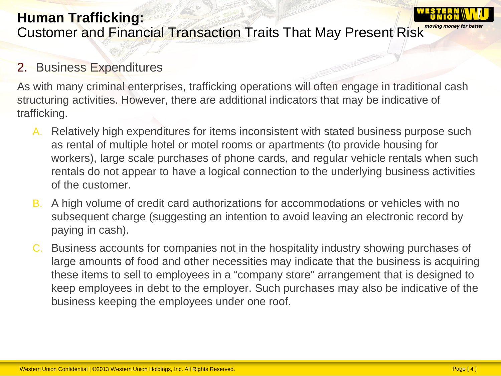#### 2. Business Expenditures

As with many criminal enterprises, trafficking operations will often engage in traditional cash structuring activities. However, there are additional indicators that may be indicative of trafficking.

- A. Relatively high expenditures for items inconsistent with stated business purpose such as rental of multiple hotel or motel rooms or apartments (to provide housing for workers), large scale purchases of phone cards, and regular vehicle rentals when such rentals do not appear to have a logical connection to the underlying business activities of the customer.
- B. A high volume of credit card authorizations for accommodations or vehicles with no subsequent charge (suggesting an intention to avoid leaving an electronic record by paying in cash).
- C. Business accounts for companies not in the hospitality industry showing purchases of large amounts of food and other necessities may indicate that the business is acquiring these items to sell to employees in a "company store" arrangement that is designed to keep employees in debt to the employer. Such purchases may also be indicative of the business keeping the employees under one roof.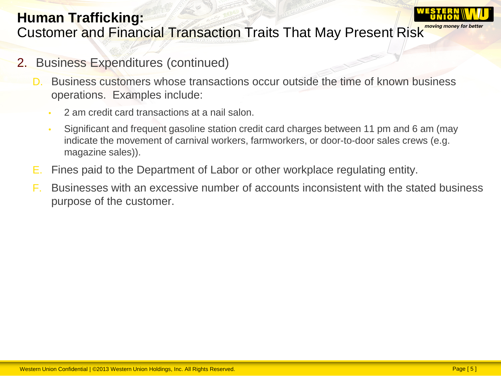

### **Human Trafficking:** Customer and Financial Transaction Traits That May Present Risk

- 2. Business Expenditures (continued)
	- Business customers whose transactions occur outside the time of known business operations. Examples include:
		- 2 am credit card transactions at a nail salon.
		- Significant and frequent gasoline station credit card charges between 11 pm and 6 am (may indicate the movement of carnival workers, farmworkers, or door-to-door sales crews (e.g. magazine sales)).
	- E. Fines paid to the Department of Labor or other workplace regulating entity.
	- F. Businesses with an excessive number of accounts inconsistent with the stated business purpose of the customer.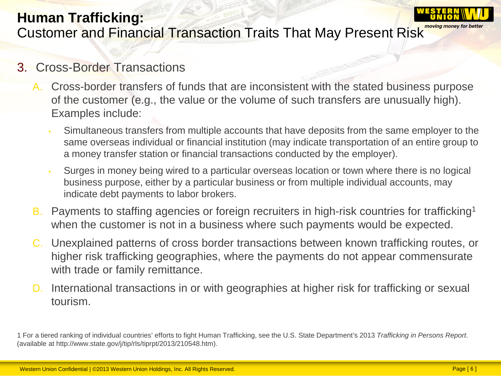

### **Human Trafficking:** Customer and Financial Transaction Traits That May Present Risk moving money for better

#### 3. Cross-Border Transactions

- A. Cross-border transfers of funds that are inconsistent with the stated business purpose of the customer (e.g., the value or the volume of such transfers are unusually high). Examples include:
	- Simultaneous transfers from multiple accounts that have deposits from the same employer to the same overseas individual or financial institution (may indicate transportation of an entire group to a money transfer station or financial transactions conducted by the employer).
	- Surges in money being wired to a particular overseas location or town where there is no logical business purpose, either by a particular business or from multiple individual accounts, may indicate debt payments to labor brokers.
- B. Payments to staffing agencies or foreign recruiters in high-risk countries for trafficking<sup>1</sup> when the customer is not in a business where such payments would be expected.
- C. Unexplained patterns of cross border transactions between known trafficking routes, or higher risk trafficking geographies, where the payments do not appear commensurate with trade or family remittance.
- D. International transactions in or with geographies at higher risk for trafficking or sexual tourism.

<sup>1</sup> For a tiered ranking of individual countries' efforts to fight Human Trafficking, see the U.S. State Department's 2013 *Trafficking in Persons Report*. (available at http://www.state.gov/j/tip/rls/tiprpt/2013/210548.htm).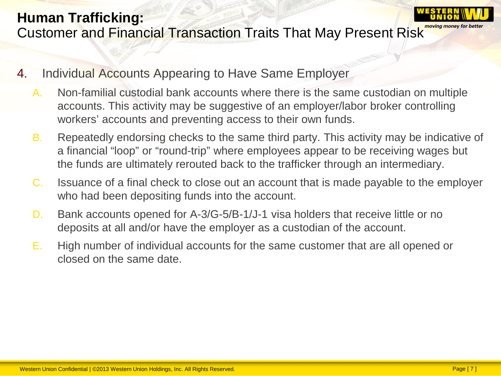- 4. Individual Accounts Appearing to Have Same Employer
	- A. Non-familial custodial bank accounts where there is the same custodian on multiple accounts. This activity may be suggestive of an employer/labor broker controlling workers' accounts and preventing access to their own funds.
	- B. Repeatedly endorsing checks to the same third party. This activity may be indicative of a financial "loop" or "round-trip" where employees appear to be receiving wages but the funds are ultimately rerouted back to the trafficker through an intermediary.
	- C. Issuance of a final check to close out an account that is made payable to the employer who had been depositing funds into the account.
	- D. Bank accounts opened for A-3/G-5/B-1/J-1 visa holders that receive little or no deposits at all and/or have the employer as a custodian of the account.
	- E. High number of individual accounts for the same customer that are all opened or closed on the same date.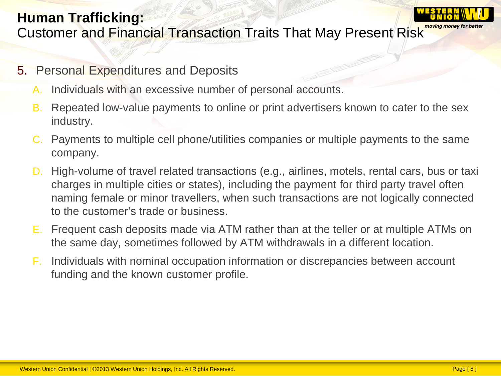

### **Human Trafficking:** Customer and Financial Transaction Traits That May Present Risk

- 5. Personal Expenditures and Deposits
	- A. Individuals with an excessive number of personal accounts.
	- B. Repeated low-value payments to online or print advertisers known to cater to the sex industry.
	- C. Payments to multiple cell phone/utilities companies or multiple payments to the same company.
	- D. High-volume of travel related transactions (e.g., airlines, motels, rental cars, bus or taxi charges in multiple cities or states), including the payment for third party travel often naming female or minor travellers, when such transactions are not logically connected to the customer's trade or business.
	- E. Frequent cash deposits made via ATM rather than at the teller or at multiple ATMs on the same day, sometimes followed by ATM withdrawals in a different location.
	- F. Individuals with nominal occupation information or discrepancies between account funding and the known customer profile.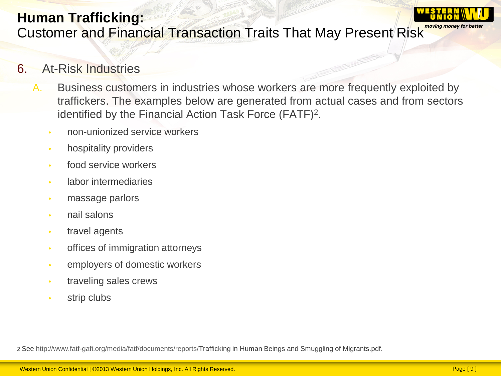## **Human Trafficking:** Customer and Financial Transaction Traits That May Present Risk

### 6. At-Risk Industries

- A. Business customers in industries whose workers are more frequently exploited by traffickers. The examples below are generated from actual cases and from sectors identified by the Financial Action Task Force (FATF)2.
	- non-unionized service workers
	- hospitality providers
	- food service workers
	- labor intermediaries
	- massage parlors
	- nail salons
	- travel agents
	- offices of immigration attorneys
	- employers of domestic workers
	- traveling sales crews
	- strip clubs

2 See [http://www.fatf-gafi.org/media/fatf/documents/reports/T](http://www.fatf-gafi.org/media/fatf/documents/reports/)rafficking in Human Beings and Smuggling of Migrants.pdf.